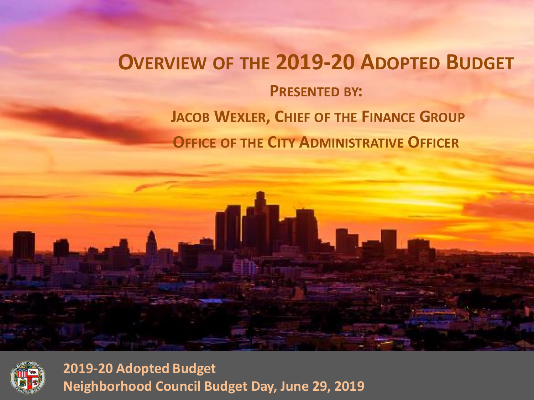## **OVERVIEW OF THE 2019-20 ADOPTED BUDGET PRESENTED BY: JACOB WEXLER, CHIEF OF THE FINANCE GROUP OFFICE OF THE CITY ADMINISTRATIVE OFFICER**

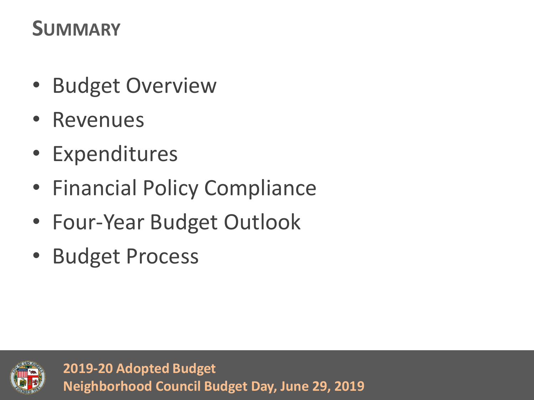## **SUMMARY**

- Budget Overview
- Revenues
- Expenditures
- Financial Policy Compliance
- Four-Year Budget Outlook
- Budget Process

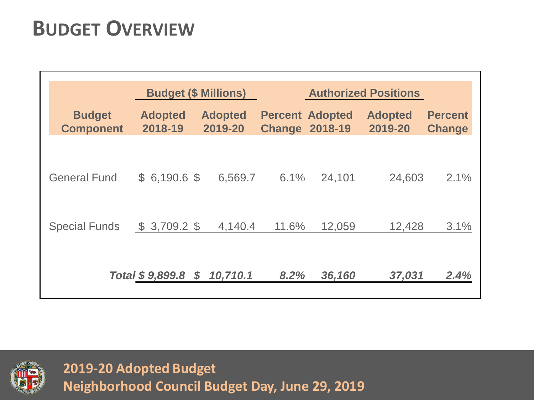## **BUDGET OVERVIEW**

|                                   |                           | <b>Budget (\$ Millions)</b> | <b>Authorized Positions</b> |                                   |                           |                                 |
|-----------------------------------|---------------------------|-----------------------------|-----------------------------|-----------------------------------|---------------------------|---------------------------------|
| <b>Budget</b><br><b>Component</b> | <b>Adopted</b><br>2018-19 | <b>Adopted</b><br>2019-20   | <b>Change</b>               | <b>Percent Adopted</b><br>2018-19 | <b>Adopted</b><br>2019-20 | <b>Percent</b><br><b>Change</b> |
| <b>General Fund</b>               | $$6,190.6$ \$             | 6,569.7                     | 6.1%                        | 24,101                            | 24,603                    | 2.1%                            |
| <b>Special Funds</b>              | $$3,709.2$ \$             | 4,140.4                     | 11.6%                       | 12,059                            | 12,428                    | 3.1%                            |
|                                   | Total \$9,899.8           | 10,710.1<br>$\mathcal{S}$   | 8.2%                        | 36,160                            | 37,031                    | 2.4%                            |

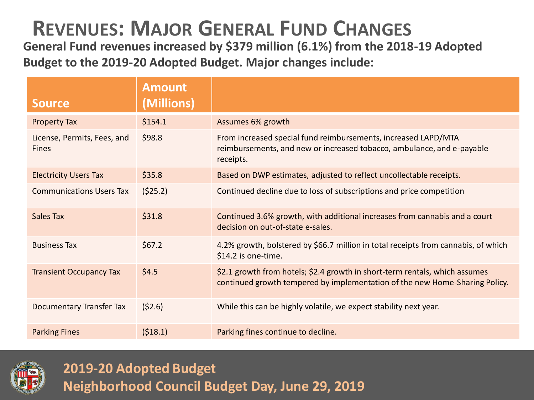### **REVENUES: MAJOR GENERAL FUND CHANGES**

**General Fund revenues increased by \$379 million (6.1%) from the 2018-19 Adopted Budget to the 2019-20 Adopted Budget. Major changes include:**

| Source,                                     | <b>Amount</b><br>(Millions) |                                                                                                                                                            |
|---------------------------------------------|-----------------------------|------------------------------------------------------------------------------------------------------------------------------------------------------------|
| <b>Property Tax</b>                         | \$154.1                     | Assumes 6% growth                                                                                                                                          |
| License, Permits, Fees, and<br><b>Fines</b> | \$98.8                      | From increased special fund reimbursements, increased LAPD/MTA<br>reimbursements, and new or increased tobacco, ambulance, and e-payable<br>receipts.      |
| <b>Electricity Users Tax</b>                | \$35.8                      | Based on DWP estimates, adjusted to reflect uncollectable receipts.                                                                                        |
| <b>Communications Users Tax</b>             | (525.2)                     | Continued decline due to loss of subscriptions and price competition                                                                                       |
| Sales Tax                                   | \$31.8                      | Continued 3.6% growth, with additional increases from cannabis and a court<br>decision on out-of-state e-sales.                                            |
| <b>Business Tax</b>                         | \$67.2                      | 4.2% growth, bolstered by \$66.7 million in total receipts from cannabis, of which<br>\$14.2 is one-time.                                                  |
| <b>Transient Occupancy Tax</b>              | \$4.5                       | \$2.1 growth from hotels; \$2.4 growth in short-term rentals, which assumes<br>continued growth tempered by implementation of the new Home-Sharing Policy. |
| Documentary Transfer Tax                    | (52.6)                      | While this can be highly volatile, we expect stability next year.                                                                                          |
| <b>Parking Fines</b>                        | (518.1)                     | Parking fines continue to decline.                                                                                                                         |

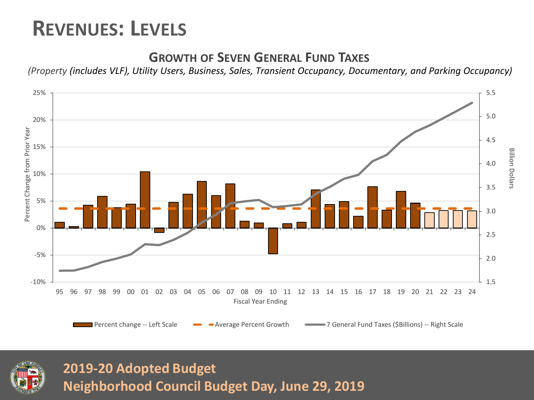### **REVENUES: LEVELS**

#### **GROWTH OF SEVEN GENERAL FUND TAXES**

*(Property (includes VLF), Utility Users, Business, Sales, Transient Occupancy, Documentary, and Parking Occupancy)*



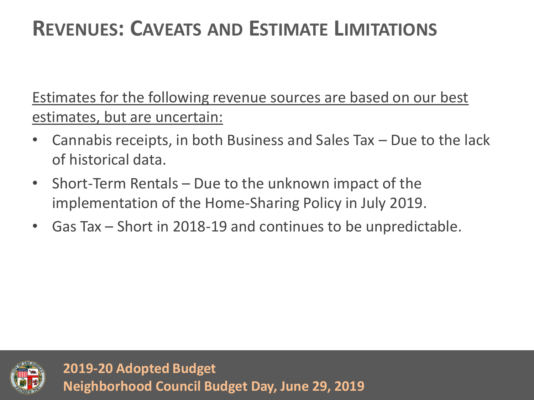## **REVENUES: CAVEATS AND ESTIMATE LIMITATIONS**

Estimates for the following revenue sources are based on our best estimates, but are uncertain:

- Cannabis receipts, in both Business and Sales Tax Due to the lack of historical data.
- Short-Term Rentals Due to the unknown impact of the implementation of the Home-Sharing Policy in July 2019.
- Gas Tax Short in 2018-19 and continues to be unpredictable.

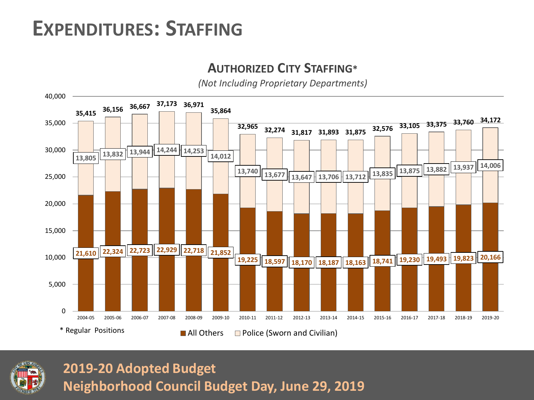### **EXPENDITURES: STAFFING**

#### **AUTHORIZED CITY STAFFING\***

*(Not Including Proprietary Departments)*



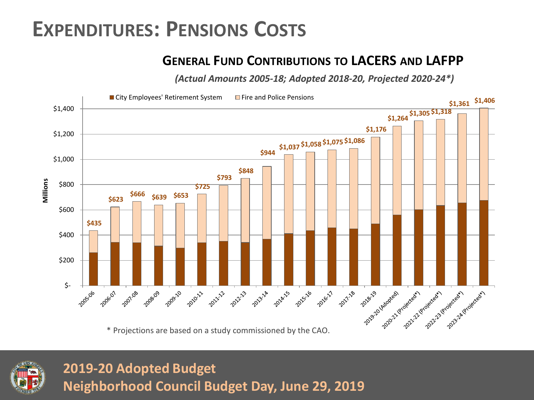### **EXPENDITURES: PENSIONS COSTS**

#### **GENERAL FUND CONTRIBUTIONS TO LACERS AND LAFPP**

*(Actual Amounts 2005-18; Adopted 2018-20, Projected 2020-24\*)*



\* Projections are based on a study commissioned by the CAO.

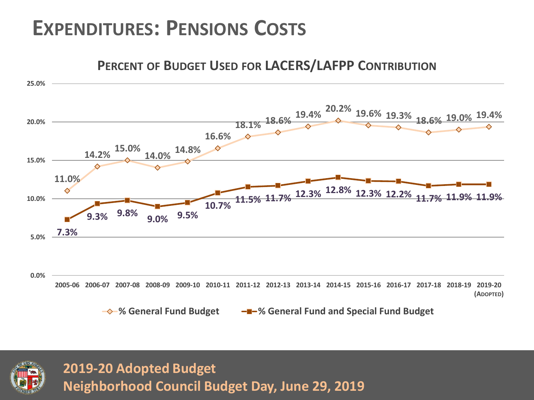### **EXPENDITURES: PENSIONS COSTS**

#### **11.0% 14.2% 15.0% 14.0% 14.8% 16.6% 18.1% 18.6% 19.4% 20.2% 19.6% 19.3% 18.6% 19.0% 19.4% 7.3% 9.3% 9.8% 9.0% 9.5% 10.7% 11.5% 11.7% 12.3% 12.8% 12.3% 12.2% 11.7% 11.9% 11.9% 0.0% 5.0% 10.0% 15.0% 20.0% 25.0%** 2005-06 2006-07 2007-08 2008-09 2009-10 2010-11 2011-12 2012-13 2013-14 2014-15 2015-16 2016-17 2017-18 2018-19 2019-20 **(ADOPTED) PERCENT OF BUDGET USED FOR LACERS/LAFPP CONTRIBUTION % General Fund Budget % General Fund and Special Fund Budget**

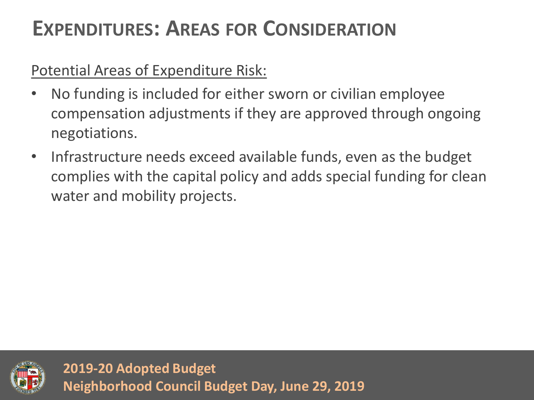## **EXPENDITURES: AREAS FOR CONSIDERATION**

### Potential Areas of Expenditure Risk:

- No funding is included for either sworn or civilian employee compensation adjustments if they are approved through ongoing negotiations.
- Infrastructure needs exceed available funds, even as the budget complies with the capital policy and adds special funding for clean water and mobility projects.

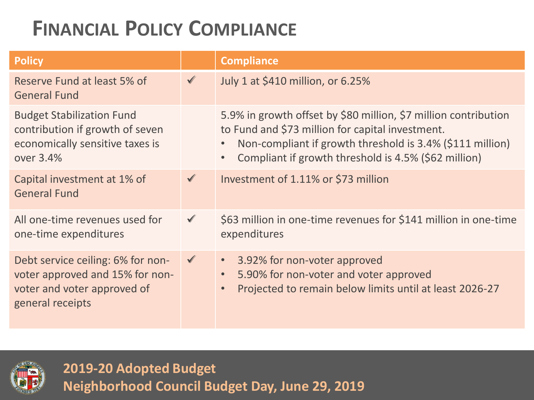| <b>Policy</b>                                                                                                           |              | <b>Compliance</b>                                                                                                                                                                                                                        |
|-------------------------------------------------------------------------------------------------------------------------|--------------|------------------------------------------------------------------------------------------------------------------------------------------------------------------------------------------------------------------------------------------|
| Reserve Fund at least 5% of<br><b>General Fund</b>                                                                      | $\checkmark$ | July 1 at \$410 million, or 6.25%                                                                                                                                                                                                        |
| <b>Budget Stabilization Fund</b><br>contribution if growth of seven<br>economically sensitive taxes is<br>over 3.4%     |              | 5.9% in growth offset by \$80 million, \$7 million contribution<br>to Fund and \$73 million for capital investment.<br>Non-compliant if growth threshold is 3.4% (\$111 million)<br>Compliant if growth threshold is 4.5% (\$62 million) |
| Capital investment at 1% of<br><b>General Fund</b>                                                                      | $\checkmark$ | Investment of 1.11% or \$73 million                                                                                                                                                                                                      |
| All one-time revenues used for<br>one-time expenditures                                                                 | $\checkmark$ | \$63 million in one-time revenues for \$141 million in one-time<br>expenditures                                                                                                                                                          |
| Debt service ceiling: 6% for non-<br>voter approved and 15% for non-<br>voter and voter approved of<br>general receipts | $\checkmark$ | 3.92% for non-voter approved<br>$\bullet$<br>5.90% for non-voter and voter approved<br>Projected to remain below limits until at least 2026-27                                                                                           |

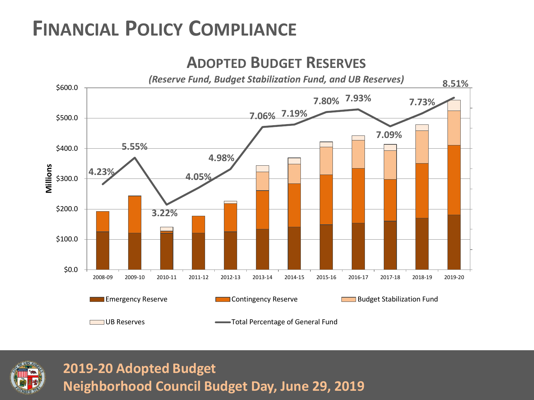

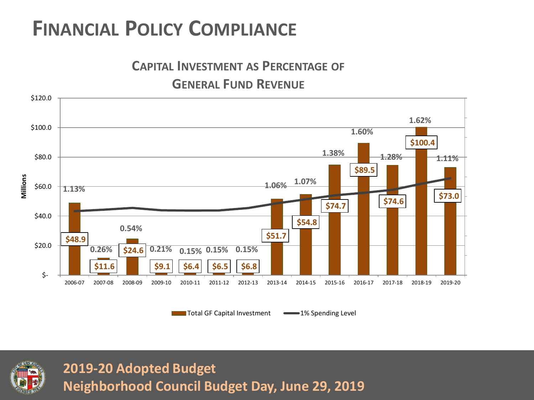



Total GF Capital Investment **1%** Spending Level

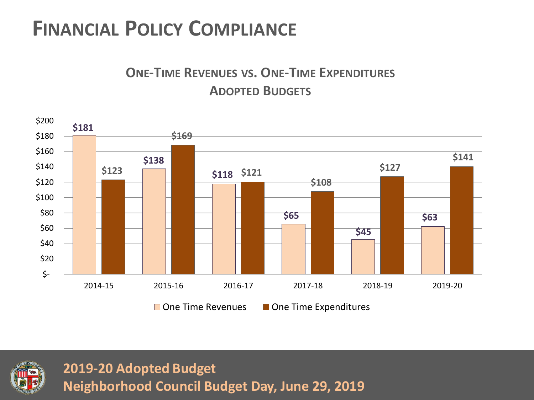#### **ONE-TIME REVENUES VS. ONE-TIME EXPENDITURES ADOPTED BUDGETS**

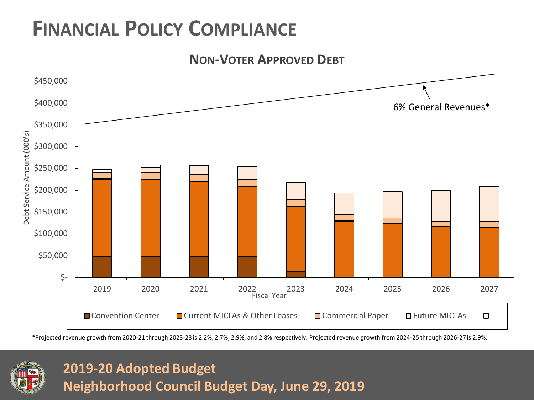



\*Projected revenue growth from 2020-21 through 2023-23 is 2.2%, 2.7%, 2.9%, and 2.8% respectively. Projected revenue growth from 2024-25 through 2026-27 is 2.9%.

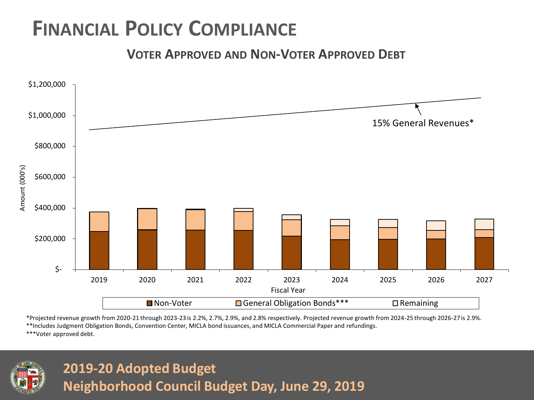**VOTER APPROVED AND NON-VOTER APPROVED DEBT**



\*Projected revenue growth from 2020-21 through 2023-23 is 2.2%, 2.7%, 2.9%, and 2.8% respectively. Projected revenue growth from 2024-25 through 2026-27 is 2.9%.

\*\*Includes Judgment Obligation Bonds, Convention Center, MICLA bond issuances, and MICLA Commercial Paper and refundings.

\*\*\*Voter approved debt.

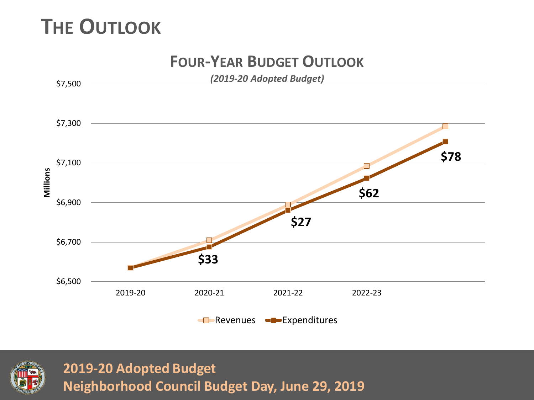### **THE OUTLOOK**



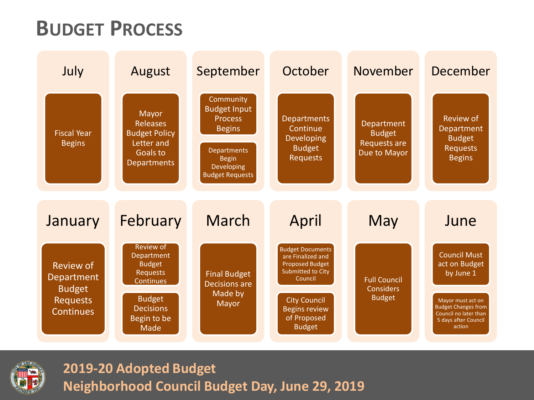### **BUDGET PROCESS**